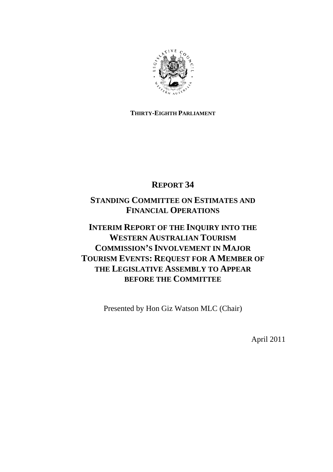

## **THIRTY-EIGHTH PARLIAMENT**

# **REPORT 34**

# **STANDING COMMITTEE ON ESTIMATES AND FINANCIAL OPERATIONS**

# **INTERIM REPORT OF THE INQUIRY INTO THE WESTERN AUSTRALIAN TOURISM COMMISSION'S INVOLVEMENT IN MAJOR TOURISM EVENTS: REQUEST FOR A MEMBER OF THE LEGISLATIVE ASSEMBLY TO APPEAR BEFORE THE COMMITTEE**

Presented by Hon Giz Watson MLC (Chair)

April 2011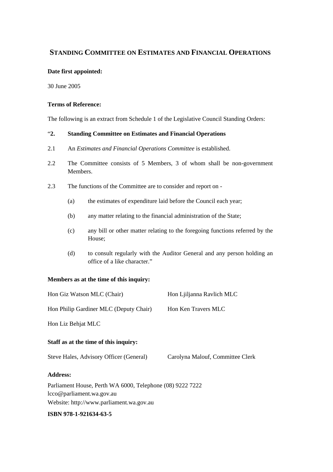## **STANDING COMMITTEE ON ESTIMATES AND FINANCIAL OPERATIONS**

#### **Date first appointed:**

30 June 2005

### **Terms of Reference:**

The following is an extract from Schedule 1 of the Legislative Council Standing Orders:

### "**2. Standing Committee on Estimates and Financial Operations**

- 2.1 An *Estimates and Financial Operations Committee* is established.
- 2.2 The Committee consists of 5 Members, 3 of whom shall be non-government Members.
- 2.3 The functions of the Committee are to consider and report on
	- (a) the estimates of expenditure laid before the Council each year;
	- (b) any matter relating to the financial administration of the State;
	- (c) any bill or other matter relating to the foregoing functions referred by the House;
	- (d) to consult regularly with the Auditor General and any person holding an office of a like character."

### **Members as at the time of this inquiry:**

| Hon Giz Watson MLC (Chair)                                | Hon Ljiljanna Ravlich MLC        |
|-----------------------------------------------------------|----------------------------------|
| Hon Philip Gardiner MLC (Deputy Chair)                    | Hon Ken Travers MLC              |
| Hon Liz Behjat MLC                                        |                                  |
| Staff as at the time of this inquiry:                     |                                  |
| Steve Hales, Advisory Officer (General)                   | Carolyna Malouf, Committee Clerk |
| <b>Address:</b>                                           |                                  |
| Parliament House, Perth WA 6000, Telephone (08) 9222 7222 |                                  |
| lcco@parliament.wa.gov.au                                 |                                  |
| Website: http://www.parliament.wa.gov.au                  |                                  |

#### **ISBN 978-1-921634-63-5**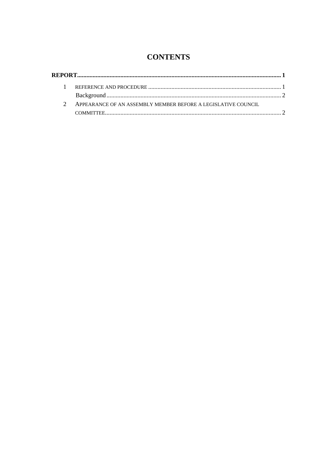# **CONTENTS**

| $\mathcal{D}$ | APPEARANCE OF AN ASSEMBLY MEMBER BEFORE A LEGISLATIVE COUNCIL |  |
|---------------|---------------------------------------------------------------|--|
|               |                                                               |  |
|               |                                                               |  |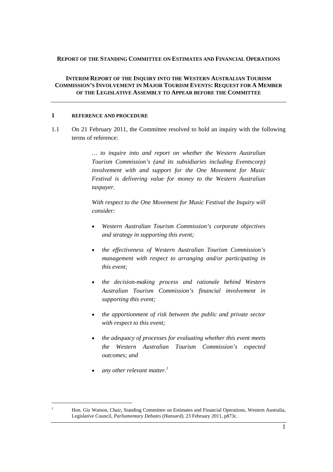#### **REPORT OF THE STANDING COMMITTEE ON ESTIMATES AND FINANCIAL OPERATIONS**

#### **INTERIM REPORT OF THE INQUIRY INTO THE WESTERN AUSTRALIAN TOURISM COMMISSION'S INVOLVEMENT IN MAJOR TOURISM EVENTS: REQUEST FOR A MEMBER OF THE LEGISLATIVE ASSEMBLY TO APPEAR BEFORE THE COMMITTEE**

#### **1 REFERENCE AND PROCEDURE**

1.1 On 21 February 2011, the Committee resolved to hold an inquiry with the following terms of reference:

> *… to inquire into and report on whether the Western Australian Tourism Commission's (and its subsidiaries including Eventscorp) involvement with and support for the One Movement for Music Festival is delivering value for money to the Western Australian taxpayer.*

> *With respect to the One Movement for Music Festival the Inquiry will consider:*

- *Western Australian Tourism Commission's corporate objectives and strategy in supporting this event;*
- *the effectiveness of Western Australian Tourism Commission's management with respect to arranging and/or participating in this event;*
- *the decision-making process and rationale behind Western Australian Tourism Commission's financial involvement in supporting this event;*
- *the apportionment of risk between the public and private sector with respect to this event;*
- *the adequacy of processes for evaluating whether this event meets the Western Australian Tourism Commission's expected outcomes; and*
- *any other relevant matter.<sup>1</sup>*

 $\overline{a}$ 1

Hon. Giz Watson, Chair, Standing Committee on Estimates and Financial Operations, Western Australia, Legislative Council, *Parliamentary Debates (Hansard),* 23 February 2011, p873c.